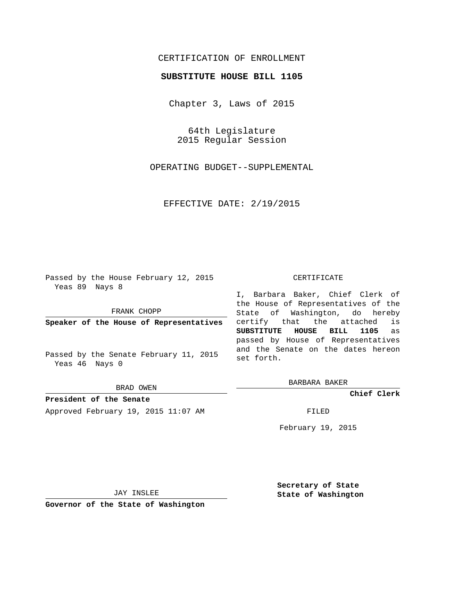#### CERTIFICATION OF ENROLLMENT

#### **SUBSTITUTE HOUSE BILL 1105**

Chapter 3, Laws of 2015

64th Legislature 2015 Regular Session

OPERATING BUDGET--SUPPLEMENTAL

EFFECTIVE DATE: 2/19/2015

Passed by the House February 12, 2015 Yeas 89 Nays 8

FRANK CHOPP

**Speaker of the House of Representatives**

Passed by the Senate February 11, 2015 Yeas 46 Nays 0

BRAD OWEN

**President of the Senate** Approved February 19, 2015 11:07 AM FILED

#### CERTIFICATE

I, Barbara Baker, Chief Clerk of the House of Representatives of the State of Washington, do hereby certify that the attached is **SUBSTITUTE HOUSE BILL 1105** as passed by House of Representatives and the Senate on the dates hereon set forth.

BARBARA BAKER

**Chief Clerk**

February 19, 2015

JAY INSLEE

**Governor of the State of Washington**

**Secretary of State State of Washington**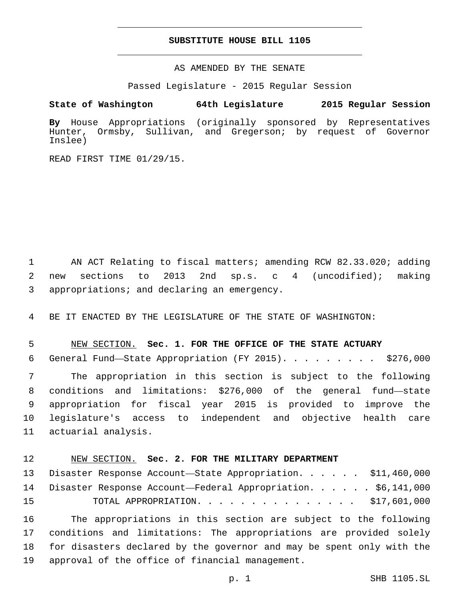#### **SUBSTITUTE HOUSE BILL 1105**

AS AMENDED BY THE SENATE

Passed Legislature - 2015 Regular Session

### **State of Washington 64th Legislature 2015 Regular Session**

**By** House Appropriations (originally sponsored by Representatives Hunter, Ormsby, Sullivan, and Gregerson; by request of Governor Inslee)

READ FIRST TIME 01/29/15.

1 AN ACT Relating to fiscal matters; amending RCW 82.33.020; adding 2 new sections to 2013 2nd sp.s. c 4 (uncodified); making 3 appropriations; and declaring an emergency.

4 BE IT ENACTED BY THE LEGISLATURE OF THE STATE OF WASHINGTON:

#### 5 NEW SECTION. **Sec. 1. FOR THE OFFICE OF THE STATE ACTUARY**

6 General Fund—State Appropriation (FY 2015). . . . . . . . . \$276,000

 The appropriation in this section is subject to the following conditions and limitations: \$276,000 of the general fund—state appropriation for fiscal year 2015 is provided to improve the legislature's access to independent and objective health care 11 actuarial analysis.

### 12 NEW SECTION. **Sec. 2. FOR THE MILITARY DEPARTMENT**

|    | 13 Disaster Response Account-State Appropriation. \$11,460,000  |  |
|----|-----------------------------------------------------------------|--|
|    | 14 Disaster Response Account—Federal Appropriation. \$6,141,000 |  |
| 15 | TOTAL APPROPRIATION. \$17,601,000                               |  |

 The appropriations in this section are subject to the following conditions and limitations: The appropriations are provided solely for disasters declared by the governor and may be spent only with the 19 approval of the office of financial management.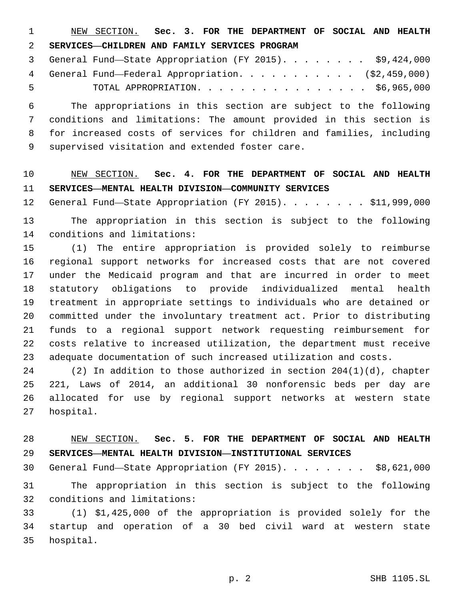NEW SECTION. **Sec. 3. FOR THE DEPARTMENT OF SOCIAL AND HEALTH SERVICES—CHILDREN AND FAMILY SERVICES PROGRAM**

 General Fund—State Appropriation (FY 2015). . . . . . . . \$9,424,000 General Fund—Federal Appropriation. . . . . . . . . . . (\$2,459,000) TOTAL APPROPRIATION. . . . . . . . . . . . . . . . \$6,965,000

 The appropriations in this section are subject to the following conditions and limitations: The amount provided in this section is for increased costs of services for children and families, including 9 supervised visitation and extended foster care.

# NEW SECTION. **Sec. 4. FOR THE DEPARTMENT OF SOCIAL AND HEALTH SERVICES—MENTAL HEALTH DIVISION—COMMUNITY SERVICES**

12 General Fund—State Appropriation (FY 2015). . . . . . . \$11,999,000

 The appropriation in this section is subject to the following 14 conditions and limitations:

 (1) The entire appropriation is provided solely to reimburse regional support networks for increased costs that are not covered under the Medicaid program and that are incurred in order to meet statutory obligations to provide individualized mental health treatment in appropriate settings to individuals who are detained or committed under the involuntary treatment act. Prior to distributing funds to a regional support network requesting reimbursement for costs relative to increased utilization, the department must receive adequate documentation of such increased utilization and costs.

 (2) In addition to those authorized in section 204(1)(d), chapter 221, Laws of 2014, an additional 30 nonforensic beds per day are allocated for use by regional support networks at western state 27 hospital.

 NEW SECTION. **Sec. 5. FOR THE DEPARTMENT OF SOCIAL AND HEALTH SERVICES—MENTAL HEALTH DIVISION—INSTITUTIONAL SERVICES**

General Fund—State Appropriation (FY 2015). . . . . . . . \$8,621,000

 The appropriation in this section is subject to the following 32 conditions and limitations:

 (1) \$1,425,000 of the appropriation is provided solely for the startup and operation of a 30 bed civil ward at western state 35 hospital.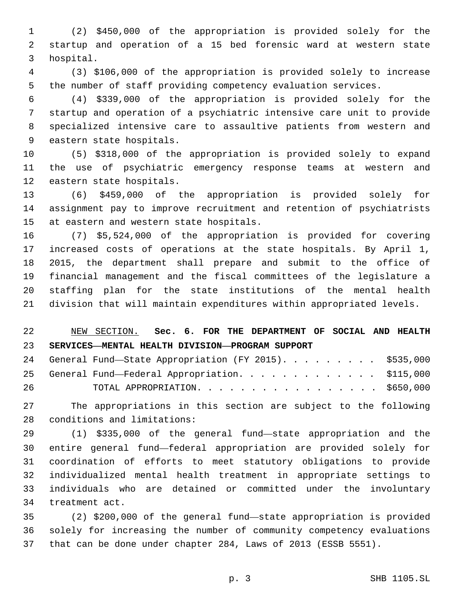(2) \$450,000 of the appropriation is provided solely for the startup and operation of a 15 bed forensic ward at western state 3 hospital.

 (3) \$106,000 of the appropriation is provided solely to increase the number of staff providing competency evaluation services.

 (4) \$339,000 of the appropriation is provided solely for the startup and operation of a psychiatric intensive care unit to provide specialized intensive care to assaultive patients from western and 9 eastern state hospitals.

 (5) \$318,000 of the appropriation is provided solely to expand the use of psychiatric emergency response teams at western and 12 eastern state hospitals.

 (6) \$459,000 of the appropriation is provided solely for assignment pay to improve recruitment and retention of psychiatrists 15 at eastern and western state hospitals.

 (7) \$5,524,000 of the appropriation is provided for covering increased costs of operations at the state hospitals. By April 1, 2015, the department shall prepare and submit to the office of financial management and the fiscal committees of the legislature a staffing plan for the state institutions of the mental health division that will maintain expenditures within appropriated levels.

# NEW SECTION. **Sec. 6. FOR THE DEPARTMENT OF SOCIAL AND HEALTH SERVICES—MENTAL HEALTH DIVISION—PROGRAM SUPPORT**

|    | 24 General Fund—State Appropriation (FY 2015) \$535,000 |  |
|----|---------------------------------------------------------|--|
|    | 25 General Fund—Federal Appropriation. \$115,000        |  |
| 26 | TOTAL APPROPRIATION. \$650,000                          |  |

 The appropriations in this section are subject to the following 28 conditions and limitations:

 (1) \$335,000 of the general fund—state appropriation and the entire general fund—federal appropriation are provided solely for coordination of efforts to meet statutory obligations to provide individualized mental health treatment in appropriate settings to individuals who are detained or committed under the involuntary 34 treatment act.

 (2) \$200,000 of the general fund—state appropriation is provided solely for increasing the number of community competency evaluations that can be done under chapter 284, Laws of 2013 (ESSB 5551).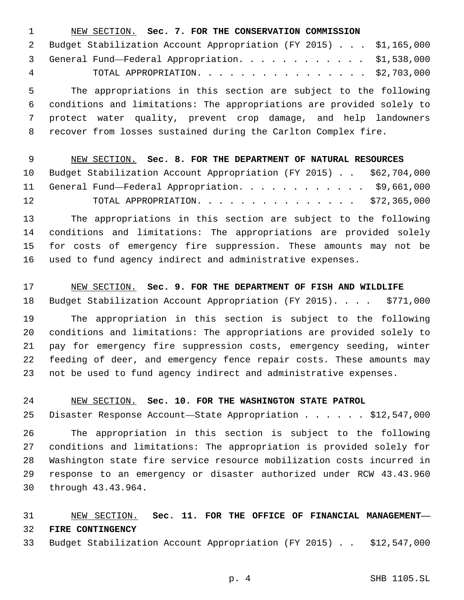| $1 \quad \cdots$ | NEW SECTION. Sec. 7. FOR THE CONSERVATION COMMISSION               |  |
|------------------|--------------------------------------------------------------------|--|
|                  | 2 Budget Stabilization Account Appropriation (FY 2015) \$1,165,000 |  |
|                  | 3 General Fund—Federal Appropriation. \$1,538,000                  |  |
| 4                | TOTAL APPROPRIATION. \$2,703,000                                   |  |

 The appropriations in this section are subject to the following conditions and limitations: The appropriations are provided solely to protect water quality, prevent crop damage, and help landowners recover from losses sustained during the Carlton Complex fire.

| 9 <sup>1</sup> | NEW SECTION. Sec. 8. FOR THE DEPARTMENT OF NATURAL RESOURCES         |
|----------------|----------------------------------------------------------------------|
|                | 10 Budget Stabilization Account Appropriation (FY 2015) \$62,704,000 |
|                | 11 General Fund—Federal Appropriation. \$9,661,000                   |
| 12.            | TOTAL APPROPRIATION. \$72,365,000                                    |

 The appropriations in this section are subject to the following conditions and limitations: The appropriations are provided solely for costs of emergency fire suppression. These amounts may not be used to fund agency indirect and administrative expenses.

### NEW SECTION. **Sec. 9. FOR THE DEPARTMENT OF FISH AND WILDLIFE**

18 Budget Stabilization Account Appropriation (FY 2015). . . . \$771,000

 The appropriation in this section is subject to the following conditions and limitations: The appropriations are provided solely to pay for emergency fire suppression costs, emergency seeding, winter feeding of deer, and emergency fence repair costs. These amounts may not be used to fund agency indirect and administrative expenses.

### NEW SECTION. **Sec. 10. FOR THE WASHINGTON STATE PATROL**

Disaster Response Account—State Appropriation . . . . . . \$12,547,000

 The appropriation in this section is subject to the following conditions and limitations: The appropriation is provided solely for Washington state fire service resource mobilization costs incurred in response to an emergency or disaster authorized under RCW 43.43.960 30 through 43.43.964.

## NEW SECTION. **Sec. 11. FOR THE OFFICE OF FINANCIAL MANAGEMENT— FIRE CONTINGENCY**

Budget Stabilization Account Appropriation (FY 2015) . . \$12,547,000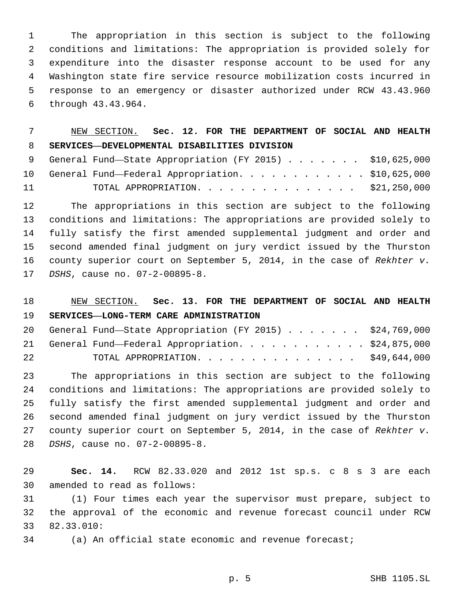The appropriation in this section is subject to the following conditions and limitations: The appropriation is provided solely for expenditure into the disaster response account to be used for any Washington state fire service resource mobilization costs incurred in response to an emergency or disaster authorized under RCW 43.43.960 through 43.43.964.6

# NEW SECTION. **Sec. 12. FOR THE DEPARTMENT OF SOCIAL AND HEALTH SERVICES—DEVELOPMENTAL DISABILITIES DIVISION**

|    | 9 General Fund—State Appropriation (FY 2015) \$10,625,000 |  |
|----|-----------------------------------------------------------|--|
|    | 10 General Fund—Federal Appropriation. \$10,625,000       |  |
| 11 | TOTAL APPROPRIATION. \$21,250,000                         |  |

 The appropriations in this section are subject to the following conditions and limitations: The appropriations are provided solely to fully satisfy the first amended supplemental judgment and order and second amended final judgment on jury verdict issued by the Thurston county superior court on September 5, 2014, in the case of *Rekhter v. DSHS*, cause no. 07-2-00895-8.

# NEW SECTION. **Sec. 13. FOR THE DEPARTMENT OF SOCIAL AND HEALTH SERVICES—LONG-TERM CARE ADMINISTRATION**

|    | 20 General Fund—State Appropriation (FY 2015) \$24,769,000 |  |
|----|------------------------------------------------------------|--|
|    | 21 General Fund—Federal Appropriation. \$24,875,000        |  |
| 22 | TOTAL APPROPRIATION. \$49,644,000                          |  |

 The appropriations in this section are subject to the following conditions and limitations: The appropriations are provided solely to fully satisfy the first amended supplemental judgment and order and second amended final judgment on jury verdict issued by the Thurston county superior court on September 5, 2014, in the case of *Rekhter v. DSHS*, cause no. 07-2-00895-8.28

 **Sec. 14.** RCW 82.33.020 and 2012 1st sp.s. c 8 s 3 are each 30 amended to read as follows:

 (1) Four times each year the supervisor must prepare, subject to the approval of the economic and revenue forecast council under RCW 33.010:

(a) An official state economic and revenue forecast;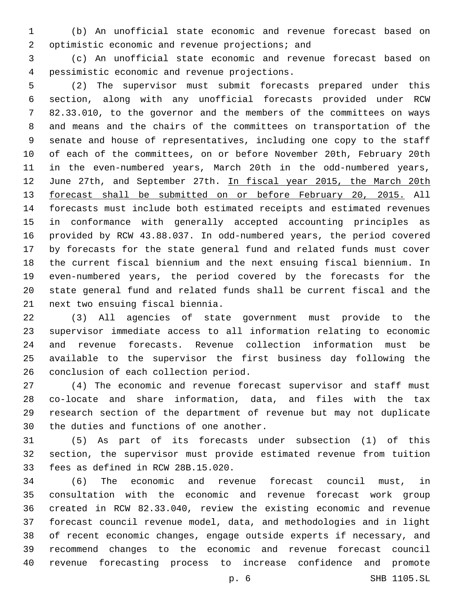(b) An unofficial state economic and revenue forecast based on 2 optimistic economic and revenue projections; and

 (c) An unofficial state economic and revenue forecast based on pessimistic economic and revenue projections.4

 (2) The supervisor must submit forecasts prepared under this section, along with any unofficial forecasts provided under RCW 82.33.010, to the governor and the members of the committees on ways and means and the chairs of the committees on transportation of the senate and house of representatives, including one copy to the staff of each of the committees, on or before November 20th, February 20th in the even-numbered years, March 20th in the odd-numbered years, 12 June 27th, and September 27th. In fiscal year 2015, the March 20th forecast shall be submitted on or before February 20, 2015. All forecasts must include both estimated receipts and estimated revenues in conformance with generally accepted accounting principles as provided by RCW 43.88.037. In odd-numbered years, the period covered by forecasts for the state general fund and related funds must cover the current fiscal biennium and the next ensuing fiscal biennium. In even-numbered years, the period covered by the forecasts for the state general fund and related funds shall be current fiscal and the 21 next two ensuing fiscal biennia.

 (3) All agencies of state government must provide to the supervisor immediate access to all information relating to economic and revenue forecasts. Revenue collection information must be available to the supervisor the first business day following the 26 conclusion of each collection period.

 (4) The economic and revenue forecast supervisor and staff must co-locate and share information, data, and files with the tax research section of the department of revenue but may not duplicate 30 the duties and functions of one another.

 (5) As part of its forecasts under subsection (1) of this section, the supervisor must provide estimated revenue from tuition 33 fees as defined in RCW 28B.15.020.

 (6) The economic and revenue forecast council must, in consultation with the economic and revenue forecast work group created in RCW 82.33.040, review the existing economic and revenue forecast council revenue model, data, and methodologies and in light of recent economic changes, engage outside experts if necessary, and recommend changes to the economic and revenue forecast council revenue forecasting process to increase confidence and promote

p. 6 SHB 1105.SL